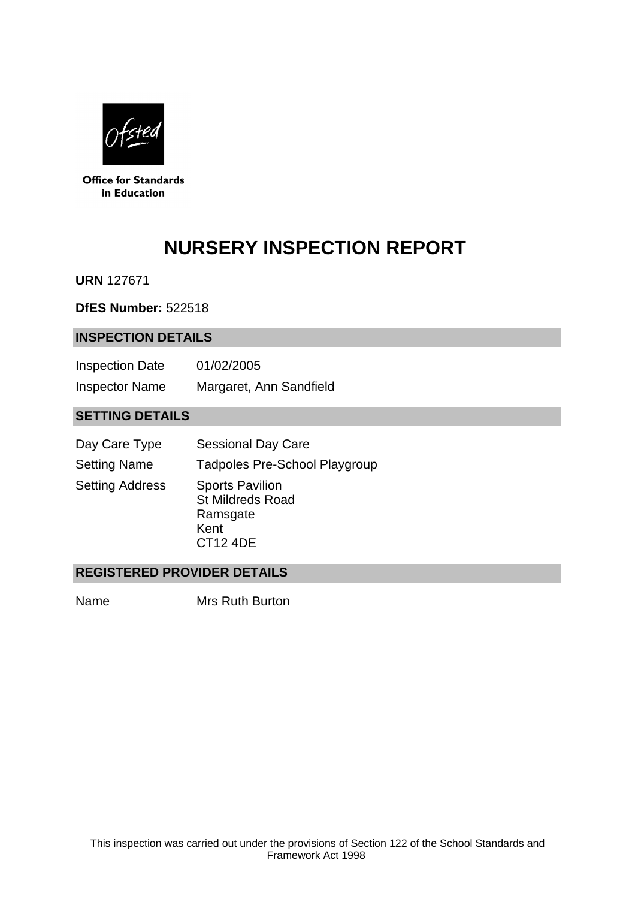

**Office for Standards** in Education

# **NURSERY INSPECTION REPORT**

**URN** 127671

**DfES Number:** 522518

#### **INSPECTION DETAILS**

| <b>Inspection Date</b> | 01/02/2005              |
|------------------------|-------------------------|
| <b>Inspector Name</b>  | Margaret, Ann Sandfield |

## **SETTING DETAILS**

| Day Care Type          | <b>Sessional Day Care</b>                                                                |
|------------------------|------------------------------------------------------------------------------------------|
| <b>Setting Name</b>    | <b>Tadpoles Pre-School Playgroup</b>                                                     |
| <b>Setting Address</b> | <b>Sports Pavilion</b><br><b>St Mildreds Road</b><br>Ramsgate<br>Kent<br><b>CT12 4DE</b> |

## **REGISTERED PROVIDER DETAILS**

Name Mrs Ruth Burton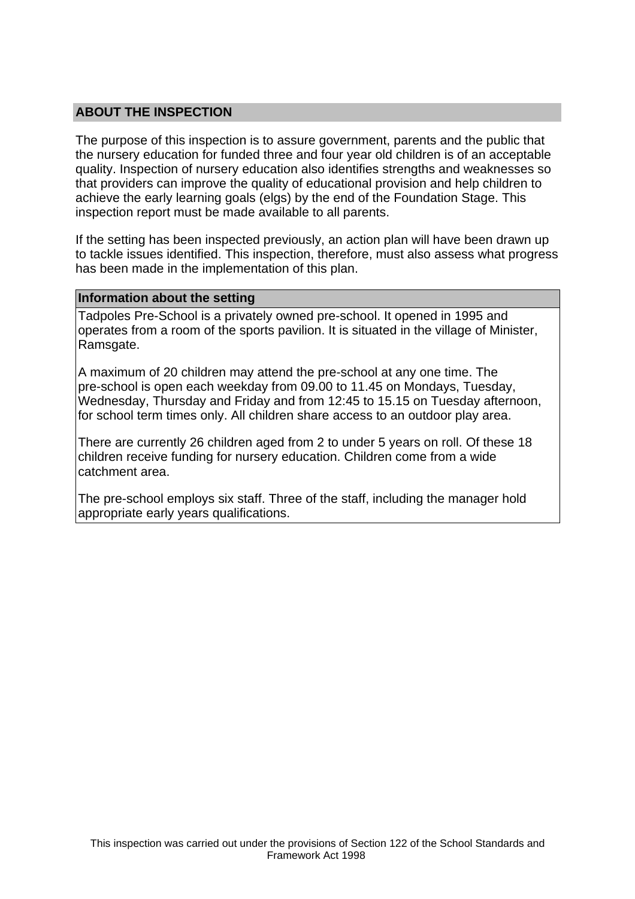## **ABOUT THE INSPECTION**

The purpose of this inspection is to assure government, parents and the public that the nursery education for funded three and four year old children is of an acceptable quality. Inspection of nursery education also identifies strengths and weaknesses so that providers can improve the quality of educational provision and help children to achieve the early learning goals (elgs) by the end of the Foundation Stage. This inspection report must be made available to all parents.

If the setting has been inspected previously, an action plan will have been drawn up to tackle issues identified. This inspection, therefore, must also assess what progress has been made in the implementation of this plan.

#### **Information about the setting**

Tadpoles Pre-School is a privately owned pre-school. It opened in 1995 and operates from a room of the sports pavilion. It is situated in the village of Minister, Ramsgate.

A maximum of 20 children may attend the pre-school at any one time. The pre-school is open each weekday from 09.00 to 11.45 on Mondays, Tuesday, Wednesday, Thursday and Friday and from 12:45 to 15.15 on Tuesday afternoon, for school term times only. All children share access to an outdoor play area.

There are currently 26 children aged from 2 to under 5 years on roll. Of these 18 children receive funding for nursery education. Children come from a wide catchment area.

The pre-school employs six staff. Three of the staff, including the manager hold appropriate early years qualifications.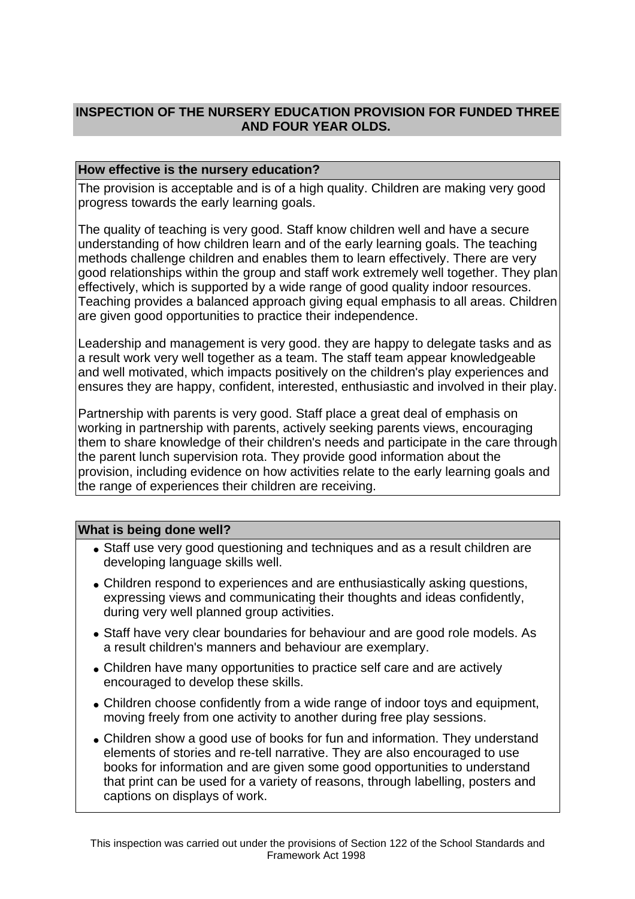# **INSPECTION OF THE NURSERY EDUCATION PROVISION FOR FUNDED THREE AND FOUR YEAR OLDS.**

## **How effective is the nursery education?**

The provision is acceptable and is of a high quality. Children are making very good progress towards the early learning goals.

The quality of teaching is very good. Staff know children well and have a secure understanding of how children learn and of the early learning goals. The teaching methods challenge children and enables them to learn effectively. There are very good relationships within the group and staff work extremely well together. They plan effectively, which is supported by a wide range of good quality indoor resources. Teaching provides a balanced approach giving equal emphasis to all areas. Children are given good opportunities to practice their independence.

Leadership and management is very good. they are happy to delegate tasks and as a result work very well together as a team. The staff team appear knowledgeable and well motivated, which impacts positively on the children's play experiences and ensures they are happy, confident, interested, enthusiastic and involved in their play.

Partnership with parents is very good. Staff place a great deal of emphasis on working in partnership with parents, actively seeking parents views, encouraging them to share knowledge of their children's needs and participate in the care through the parent lunch supervision rota. They provide good information about the provision, including evidence on how activities relate to the early learning goals and the range of experiences their children are receiving.

## **What is being done well?**

- Staff use very good questioning and techniques and as a result children are developing language skills well.
- Children respond to experiences and are enthusiastically asking questions, expressing views and communicating their thoughts and ideas confidently, during very well planned group activities.
- Staff have very clear boundaries for behaviour and are good role models. As a result children's manners and behaviour are exemplary.
- Children have many opportunities to practice self care and are actively encouraged to develop these skills.
- Children choose confidently from a wide range of indoor toys and equipment, moving freely from one activity to another during free play sessions.
- Children show a good use of books for fun and information. They understand elements of stories and re-tell narrative. They are also encouraged to use books for information and are given some good opportunities to understand that print can be used for a variety of reasons, through labelling, posters and captions on displays of work.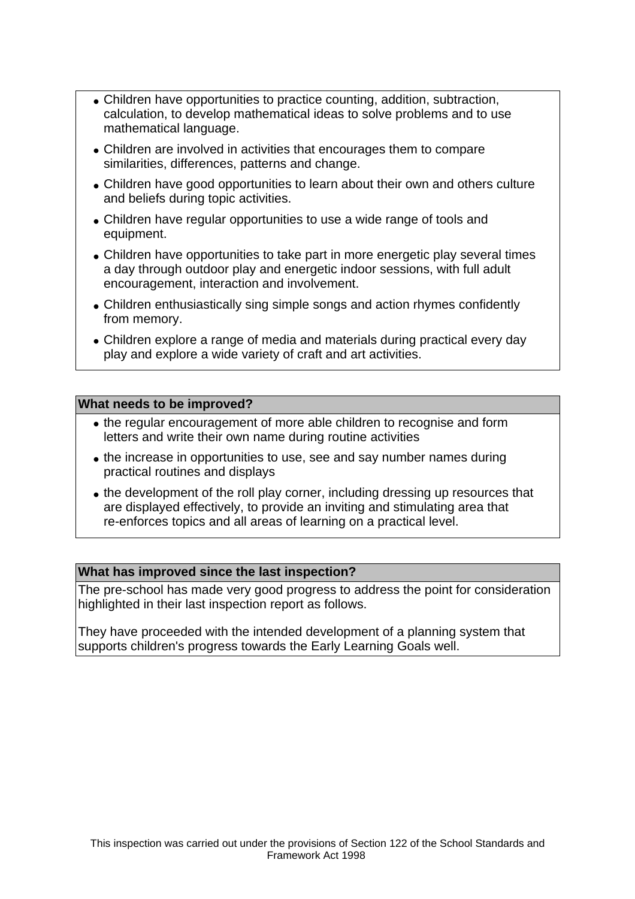- Children have opportunities to practice counting, addition, subtraction, calculation, to develop mathematical ideas to solve problems and to use mathematical language.
- Children are involved in activities that encourages them to compare similarities, differences, patterns and change.
- Children have good opportunities to learn about their own and others culture and beliefs during topic activities.
- Children have regular opportunities to use a wide range of tools and equipment.
- Children have opportunities to take part in more energetic play several times a day through outdoor play and energetic indoor sessions, with full adult encouragement, interaction and involvement.
- Children enthusiastically sing simple songs and action rhymes confidently from memory.
- Children explore a range of media and materials during practical every day play and explore a wide variety of craft and art activities.

## **What needs to be improved?**

- the regular encouragement of more able children to recognise and form letters and write their own name during routine activities
- the increase in opportunities to use, see and say number names during practical routines and displays
- the development of the roll play corner, including dressing up resources that are displayed effectively, to provide an inviting and stimulating area that re-enforces topics and all areas of learning on a practical level.

#### **What has improved since the last inspection?**

The pre-school has made very good progress to address the point for consideration highlighted in their last inspection report as follows.

They have proceeded with the intended development of a planning system that supports children's progress towards the Early Learning Goals well.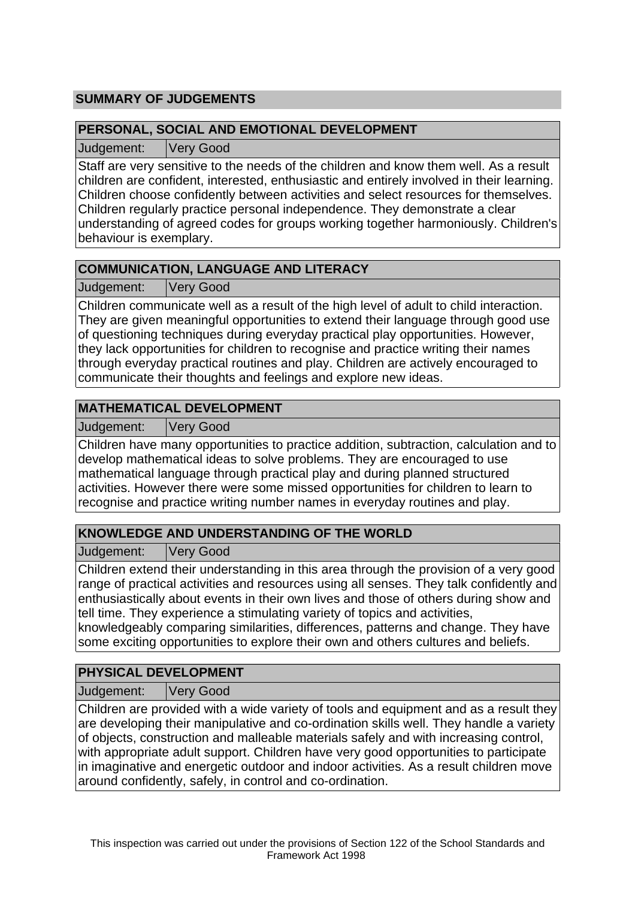# **SUMMARY OF JUDGEMENTS**

## **PERSONAL, SOCIAL AND EMOTIONAL DEVELOPMENT**

Judgement: Very Good

Staff are very sensitive to the needs of the children and know them well. As a result children are confident, interested, enthusiastic and entirely involved in their learning. Children choose confidently between activities and select resources for themselves. Children regularly practice personal independence. They demonstrate a clear understanding of agreed codes for groups working together harmoniously. Children's behaviour is exemplary.

# **COMMUNICATION, LANGUAGE AND LITERACY**

Judgement: Very Good

Children communicate well as a result of the high level of adult to child interaction. They are given meaningful opportunities to extend their language through good use of questioning techniques during everyday practical play opportunities. However, they lack opportunities for children to recognise and practice writing their names through everyday practical routines and play. Children are actively encouraged to communicate their thoughts and feelings and explore new ideas.

# **MATHEMATICAL DEVELOPMENT**

Judgement: Very Good

Children have many opportunities to practice addition, subtraction, calculation and to develop mathematical ideas to solve problems. They are encouraged to use mathematical language through practical play and during planned structured activities. However there were some missed opportunities for children to learn to recognise and practice writing number names in everyday routines and play.

# **KNOWLEDGE AND UNDERSTANDING OF THE WORLD**

Judgement: Very Good

Children extend their understanding in this area through the provision of a very good range of practical activities and resources using all senses. They talk confidently and enthusiastically about events in their own lives and those of others during show and tell time. They experience a stimulating variety of topics and activities,

knowledgeably comparing similarities, differences, patterns and change. They have some exciting opportunities to explore their own and others cultures and beliefs.

## **PHYSICAL DEVELOPMENT**

Judgement: Very Good

Children are provided with a wide variety of tools and equipment and as a result they are developing their manipulative and co-ordination skills well. They handle a variety of objects, construction and malleable materials safely and with increasing control, with appropriate adult support. Children have very good opportunities to participate in imaginative and energetic outdoor and indoor activities. As a result children move around confidently, safely, in control and co-ordination.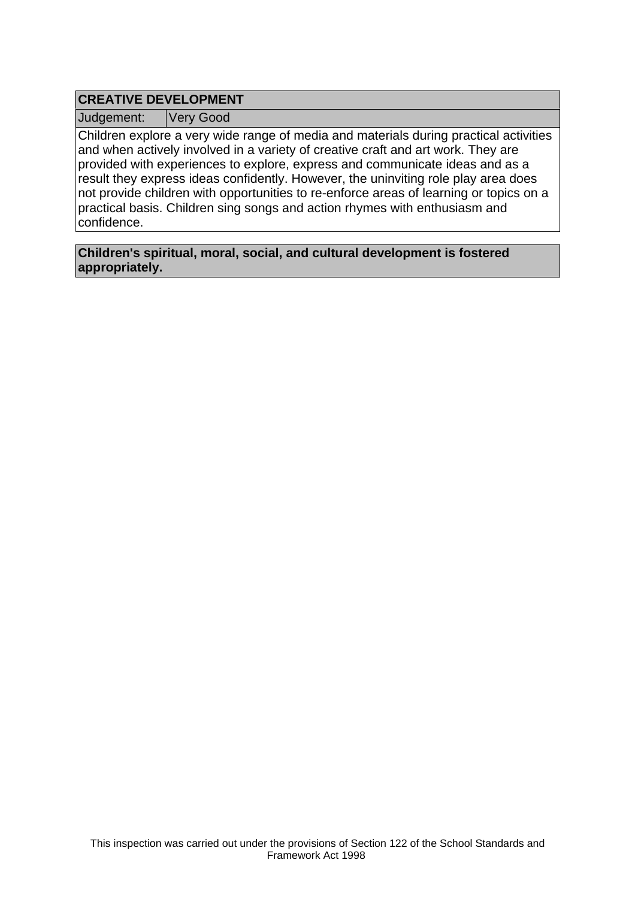# **CREATIVE DEVELOPMENT**

Judgement: Very Good

Children explore a very wide range of media and materials during practical activities and when actively involved in a variety of creative craft and art work. They are provided with experiences to explore, express and communicate ideas and as a result they express ideas confidently. However, the uninviting role play area does not provide children with opportunities to re-enforce areas of learning or topics on a practical basis. Children sing songs and action rhymes with enthusiasm and confidence.

**Children's spiritual, moral, social, and cultural development is fostered appropriately.**